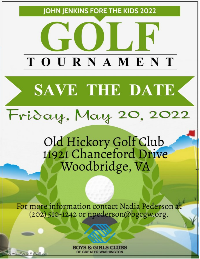

**GREATER WASHINGTON** 

Made with PosterMyWall.com